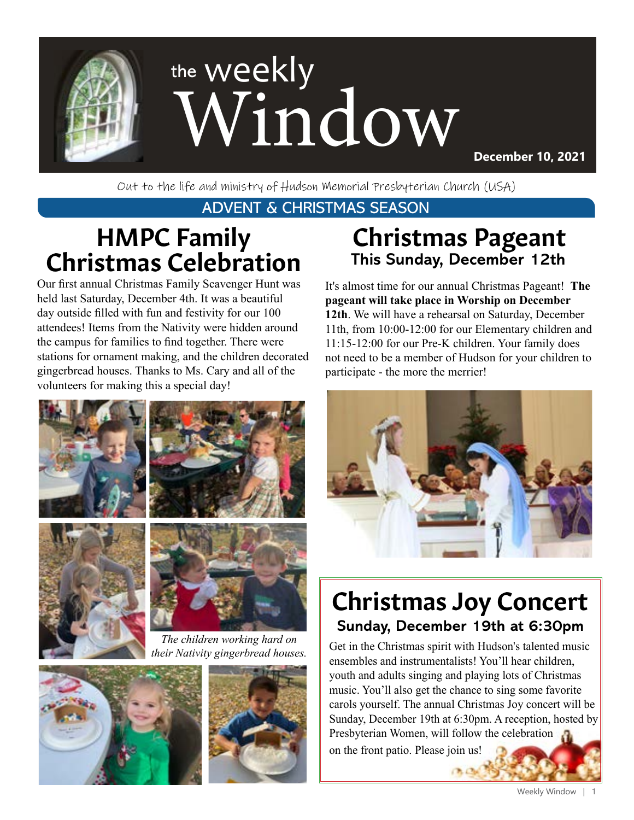

Out to the life and ministry of Hudson Memorial Presbyterian Church (USA)

#### ADVENT & CHRISTMAS SEASON

# HMPC Family Christmas Celebration

Our first annual Christmas Family Scavenger Hunt was held last Saturday, December 4th. It was a beautiful day outside filled with fun and festivity for our 100 attendees! Items from the Nativity were hidden around the campus for families to find together. There were stations for ornament making, and the children decorated gingerbread houses. Thanks to Ms. Cary and all of the volunteers for making this a special day!







*The children working hard on their Nativity gingerbread houses.*





## Christmas Pageant **This Sunday, December 12th**

It's almost time for our annual Christmas Pageant! **The pageant will take place in Worship on December 12th**. We will have a rehearsal on Saturday, December 11th, from 10:00-12:00 for our Elementary children and 11:15-12:00 for our Pre-K children. Your family does not need to be a member of Hudson for your children to participate - the more the merrier!



# Christmas Joy Concert **Sunday, December 19th at 6:30pm**

Get in the Christmas spirit with Hudson's talented music ensembles and instrumentalists! You'll hear children, youth and adults singing and playing lots of Christmas music. You'll also get the chance to sing some favorite carols yourself. The annual Christmas Joy concert will be Sunday, December 19th at 6:30pm. A reception, hosted by Presbyterian Women, will follow the celebration

on the front patio. Please join us!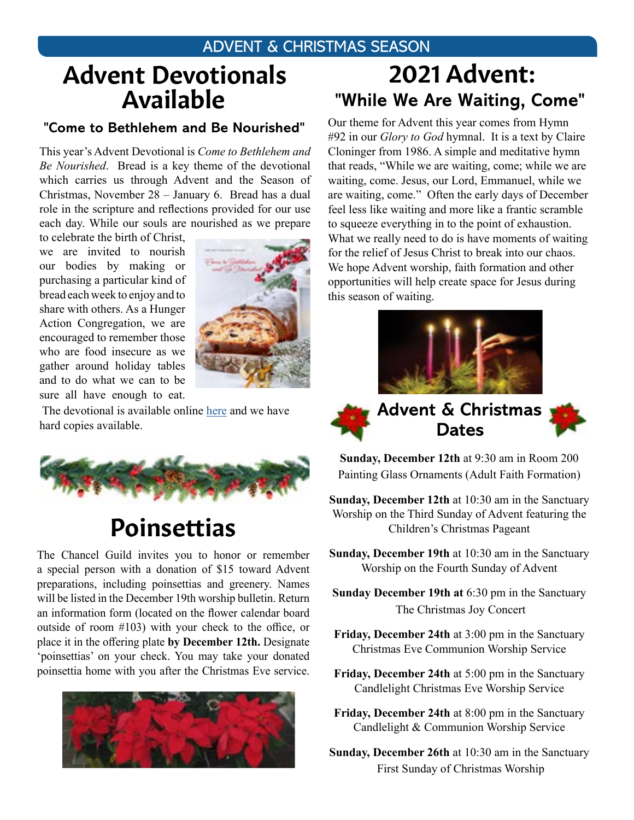#### ADVENT & CHRISTMAS SEASON

# Advent Devotionals Available

#### **"Come to Bethlehem and Be Nourished"**

This year's Advent Devotional is *Come to Bethlehem and Be Nourished*. Bread is a key theme of the devotional which carries us through Advent and the Season of Christmas, November 28 – January 6. Bread has a dual role in the scripture and reflections provided for our use each day. While our souls are nourished as we prepare

to celebrate the birth of Christ, we are invited to nourish our bodies by making or purchasing a particular kind of bread each week to enjoy and to share with others. As a Hunger Action Congregation, we are encouraged to remember those who are food insecure as we gather around holiday tables and to do what we can to be sure all have enough to eat.



The devotional is available online [here](https://www.presbyterianmission.org/ministries/today/advent2021/) and we have hard copies available.



## Poinsettias

The Chancel Guild invites you to honor or remember a special person with a donation of \$15 toward Advent preparations, including poinsettias and greenery. Names will be listed in the December 19th worship bulletin. Return an information form (located on the flower calendar board outside of room #103) with your check to the office, or place it in the offering plate **by December 12th.** Designate 'poinsettias' on your check. You may take your donated poinsettia home with you after the Christmas Eve service.



# **"While We Are Waiting, Come"**  2021 Advent:

Our theme for Advent this year comes from Hymn #92 in our *Glory to God* hymnal. It is a text by Claire Cloninger from 1986. A simple and meditative hymn that reads, "While we are waiting, come; while we are waiting, come. Jesus, our Lord, Emmanuel, while we are waiting, come." Often the early days of December feel less like waiting and more like a frantic scramble to squeeze everything in to the point of exhaustion. What we really need to do is have moments of waiting for the relief of Jesus Christ to break into our chaos. We hope Advent worship, faith formation and other opportunities will help create space for Jesus during this season of waiting.







**Sunday, December 12th** at 9:30 am in Room 200 Painting Glass Ornaments (Adult Faith Formation)

**Dates**

**Sunday, December 12th** at 10:30 am in the Sanctuary Worship on the Third Sunday of Advent featuring the Children's Christmas Pageant

**Sunday, December 19th** at 10:30 am in the Sanctuary Worship on the Fourth Sunday of Advent

**Sunday December 19th at** 6:30 pm in the Sanctuary The Christmas Joy Concert

**Friday, December 24th** at 3:00 pm in the Sanctuary Christmas Eve Communion Worship Service

- **Friday, December 24th** at 5:00 pm in the Sanctuary Candlelight Christmas Eve Worship Service
- **Friday, December 24th** at 8:00 pm in the Sanctuary Candlelight & Communion Worship Service
- **Sunday, December 26th** at 10:30 am in the Sanctuary First Sunday of Christmas Worship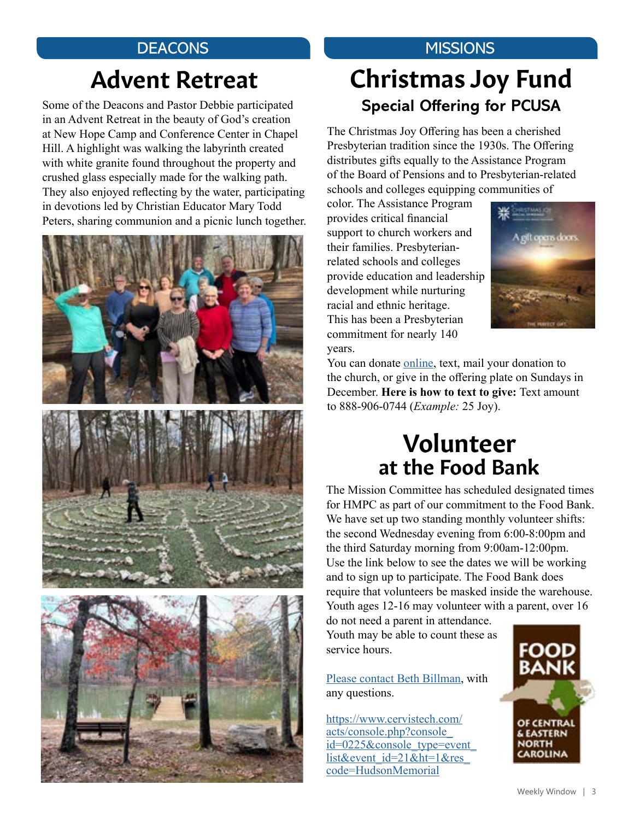#### **DEACONS**

# Advent Retreat

Some of the Deacons and Pastor Debbie participated in an Advent Retreat in the beauty of God's creation at New Hope Camp and Conference Center in Chapel Hill. A highlight was walking the labyrinth created with white granite found throughout the property and crushed glass especially made for the walking path. They also enjoyed reflecting by the water, participating in devotions led by Christian Educator Mary Todd Peters, sharing communion and a picnic lunch together.



## **MISSIONS** Christmas Joy Fund

**Special Offering for PCUSA**

The Christmas Joy Offering has been a cherished Presbyterian tradition since the 1930s. The Offering distributes gifts equally to the Assistance Program of the Board of Pensions and to Presbyterian-related schools and colleges equipping communities of

color. The Assistance Program provides critical financial support to church workers and their families. Presbyterianrelated schools and colleges provide education and leadership development while nurturing racial and ethnic heritage. This has been a Presbyterian commitment for nearly 140 years.



You can donate [online,](https://www.eservicepayments.com/cgi-bin/Vanco_ver3.vps?appver3=Fi1giPL8kwX_Oe1AO50jRnQ574HZh5kFEHVJ6e5We_Us4NSQukCYDzKLUtTTUlsf2EvVVAEjqawDomKT1pbouTsRltlX7QEmZN4jxtbsYBc=&ver=3) text, mail your donation to the church, or give in the offering plate on Sundays in December. **Here is how to text to give:** Text amount to 888-906-0744 (*Example:* 25 Joy).

## at the Food Bank Volunteer

The Mission Committee has scheduled designated times for HMPC as part of our commitment to the Food Bank. We have set up two standing monthly volunteer shifts: the second Wednesday evening from 6:00-8:00pm and the third Saturday morning from 9:00am-12:00pm. Use the link below to see the dates we will be working and to sign up to participate. The Food Bank does require that volunteers be masked inside the warehouse. Youth ages 12-16 may volunteer with a parent, over 16

do not need a parent in attendance. Youth may be able to count these as service hours.

[Please contact Beth Billman](mailto:bbillman%40nc.rr.com?subject=), with any questions.

[https://www.cervistech.com/](https://www.cervistech.com/acts/console.php?console_id=0225&console_type=event_list&event_id=21&ht=1&res_code=HudsonMemorial) [acts/console.php?console\\_](https://www.cervistech.com/acts/console.php?console_id=0225&console_type=event_list&event_id=21&ht=1&res_code=HudsonMemorial) [id=0225&console\\_type=event\\_](https://www.cervistech.com/acts/console.php?console_id=0225&console_type=event_list&event_id=21&ht=1&res_code=HudsonMemorial) [list&event\\_id=21&ht=1&res\\_](https://www.cervistech.com/acts/console.php?console_id=0225&console_type=event_list&event_id=21&ht=1&res_code=HudsonMemorial) [code=HudsonMemorial](https://www.cervistech.com/acts/console.php?console_id=0225&console_type=event_list&event_id=21&ht=1&res_code=HudsonMemorial)

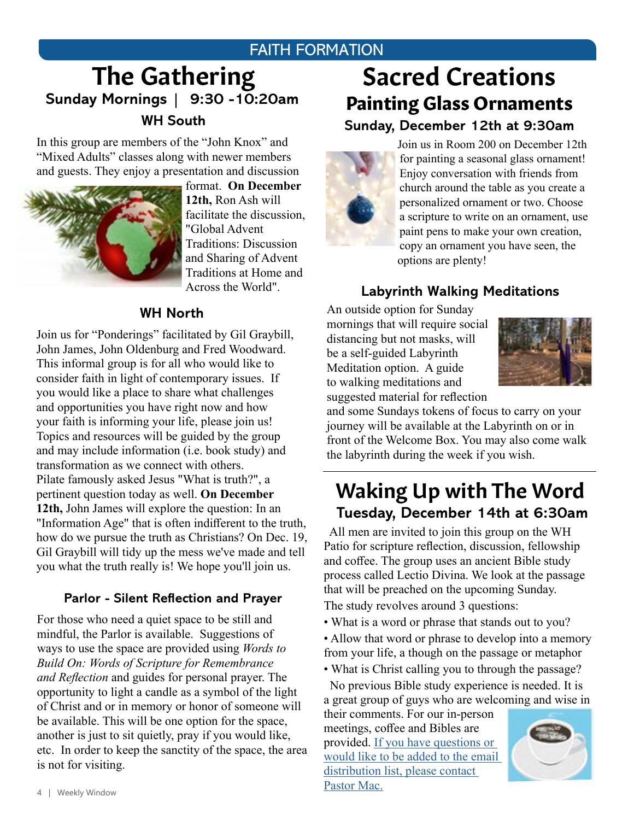#### FAITH FORMATION

## **WH South** The Gathering **Sunday Mornings | 9:30 -10:20am**

In this group are members of the "John Knox" and "Mixed Adults" classes along with newer members and guests. They enjoy a presentation and discussion



format. **On December 12th,** Ron Ash will facilitate the discussion, "Global Advent Traditions: Discussion and Sharing of Advent Traditions at Home and Across the World".

#### **WH North**

Join us for "Ponderings" facilitated by Gil Graybill, John James, John Oldenburg and Fred Woodward. This informal group is for all who would like to consider faith in light of contemporary issues. If you would like a place to share what challenges and opportunities you have right now and how your faith is informing your life, please join us! Topics and resources will be guided by the group and may include information (i.e. book study) and transformation as we connect with others. Pilate famously asked Jesus "What is truth?", a pertinent question today as well. **On December 12th,** John James will explore the question: In an "Information Age" that is often indifferent to the truth, how do we pursue the truth as Christians? On Dec. 19, Gil Graybill will tidy up the mess we've made and tell you what the truth really is! We hope you'll join us.

#### **Parlor - Silent Reflection and Prayer**

For those who need a quiet space to be still and mindful, the Parlor is available. Suggestions of ways to use the space are provided using *Words to Build On: Words of Scripture for Remembrance and Reflection* and guides for personal prayer. The opportunity to light a candle as a symbol of the light of Christ and or in memory or honor of someone will be available. This will be one option for the space, another is just to sit quietly, pray if you would like, etc. In order to keep the sanctity of the space, the area is not for visiting.

# Sacred Creations Painting Glass Ornaments

**Sunday, December 12th at 9:30am**



Join us in Room 200 on December 12th for painting a seasonal glass ornament! Enjoy conversation with friends from church around the table as you create a personalized ornament or two. Choose a scripture to write on an ornament, use paint pens to make your own creation, copy an ornament you have seen, the options are plenty!

#### **Labyrinth Walking Meditations**

An outside option for Sunday mornings that will require social distancing but not masks, will be a self-guided Labyrinth Meditation option. A guide to walking meditations and suggested material for reflection



and some Sundays tokens of focus to carry on your journey will be available at the Labyrinth on or in front of the Welcome Box. You may also come walk the labyrinth during the week if you wish.

## Waking Up with The Word **Tuesday, December 14th at 6:30am**

 All men are invited to join this group on the WH Patio for scripture reflection, discussion, fellowship and coffee. The group uses an ancient Bible study process called Lectio Divina. We look at the passage that will be preached on the upcoming Sunday.

The study revolves around 3 questions:

- What is a word or phrase that stands out to you?
- Allow that word or phrase to develop into a memory from your life, a though on the passage or metaphor
- What is Christ calling you to through the passage?

 No previous Bible study experience is needed. It is a great group of guys who are welcoming and wise in

their comments. For our in-person meetings, coffee and Bibles are provided. [If you have questions or](mailto:mschafer%40hmpc.org?subject=)  [would like to be added to the email](mailto:mschafer%40hmpc.org?subject=)  [distribution list, please contact](mailto:mschafer%40hmpc.org?subject=)  [Pastor Mac](mailto:mschafer%40hmpc.org?subject=).

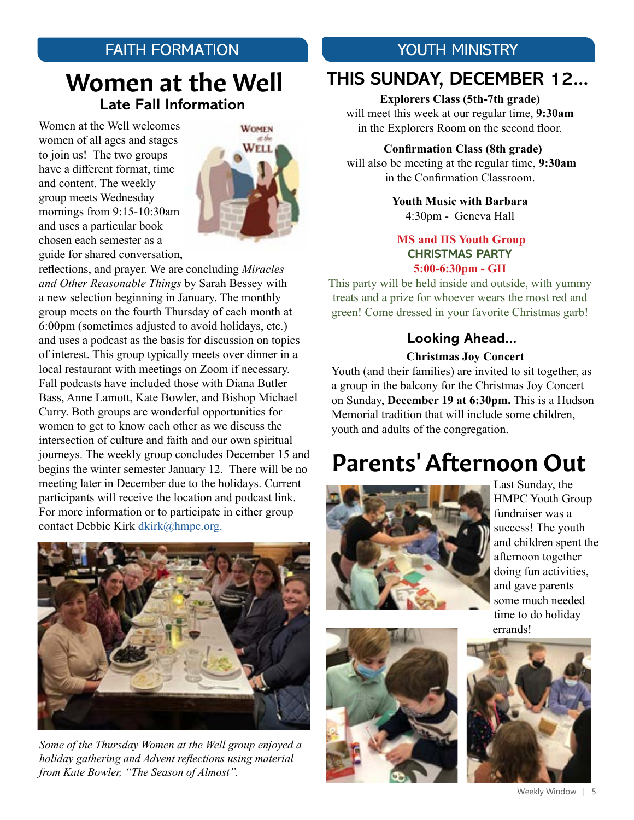## FAITH FORMATION

## Women at the Well **Late Fall Information**

Women at the Well welcomes women of all ages and stages to join us! The two groups have a different format, time and content. The weekly group meets Wednesday mornings from 9:15-10:30am and uses a particular book chosen each semester as a guide for shared conversation,



reflections, and prayer. We are concluding *Miracles and Other Reasonable Things* by Sarah Bessey with a new selection beginning in January. The monthly group meets on the fourth Thursday of each month at 6:00pm (sometimes adjusted to avoid holidays, etc.) and uses a podcast as the basis for discussion on topics of interest. This group typically meets over dinner in a local restaurant with meetings on Zoom if necessary. Fall podcasts have included those with Diana Butler Bass, Anne Lamott, Kate Bowler, and Bishop Michael Curry. Both groups are wonderful opportunities for women to get to know each other as we discuss the intersection of culture and faith and our own spiritual journeys. The weekly group concludes December 15 and begins the winter semester January 12. There will be no meeting later in December due to the holidays. Current participants will receive the location and podcast link. For more information or to participate in either group contact Debbie Kirk [dkirk@hmpc.org.](mailto:dkirk%40hmpc.org?subject=)



*Some of the Thursday Women at the Well group enjoyed a holiday gathering and Advent reflections using material from Kate Bowler, "The Season of Almost".*

#### YOUTH MINISTRY

## **THIS SUNDAY, DECEMBER 12...**

**Explorers Class (5th-7th grade)**  will meet this week at our regular time, **9:30am** in the Explorers Room on the second floor.

 **Confirmation Class (8th grade)** will also be meeting at the regular time, **9:30am**  in the Confirmation Classroom.

> **Youth Music with Barbara** 4:30pm - Geneva Hall

#### **MS and HS Youth Group CHRISTMAS PARTY 5:00-6:30pm - GH**

This party will be held inside and outside, with yummy treats and a prize for whoever wears the most red and green! Come dressed in your favorite Christmas garb!

#### **Looking Ahead...**

#### **Christmas Joy Concert**

Youth (and their families) are invited to sit together, as a group in the balcony for the Christmas Joy Concert on Sunday, **December 19 at 6:30pm.** This is a Hudson Memorial tradition that will include some children, youth and adults of the congregation.

# Parents' Afternoon Out



Last Sunday, the HMPC Youth Group fundraiser was a success! The youth and children spent the afternoon together doing fun activities, and gave parents some much needed time to do holiday errands!



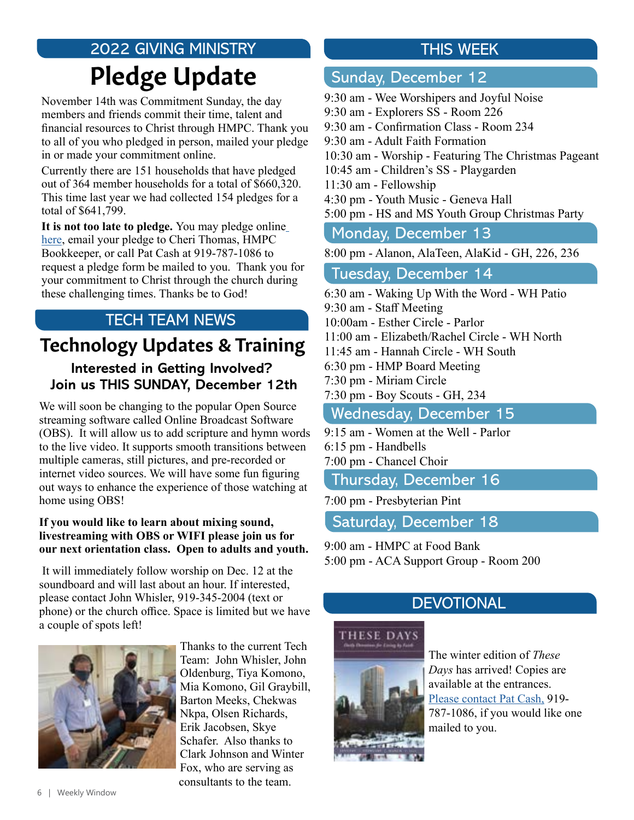## 2022 GIVING MINISTRY Pledge Update

November 14th was Commitment Sunday, the day members and friends commit their time, talent and financial resources to Christ through HMPC. Thank you to all of you who pledged in person, mailed your pledge in or made your commitment online.

Currently there are 151 households that have pledged out of 364 member households for a total of \$660,320. This time last year we had collected 154 pledges for a total of \$641,799.

**It is not too late to pledge.** You may pledge onlin[e](https://www.hmpc.org/make-a-pledge) [here,](https://www.hmpc.org/make-a-pledge) email your pledge to Cheri Thomas, HMPC Bookkeeper, or call Pat Cash at 919-787-1086 to request a pledge form be mailed to you. Thank you for your commitment to Christ through the church during these challenging times. Thanks be to God!

## TECH TEAM NEWS

#### **Interested in Getting Involved? Join us THIS SUNDAY, December 12th** Technology Updates & Training

We will soon be changing to the popular Open Source streaming software called Online Broadcast Software (OBS). It will allow us to add scripture and hymn words to the live video. It supports smooth transitions between multiple cameras, still pictures, and pre-recorded or internet video sources. We will have some fun figuring out ways to enhance the experience of those watching at home using OBS!

#### **If you would like to learn about mixing sound, livestreaming with OBS or WIFI please join us for our next orientation class. Open to adults and youth.**

 It will immediately follow worship on Dec. 12 at the soundboard and will last about an hour. If interested, please contact John Whisler, 919-345-2004 (text or phone) or the church office. Space is limited but we have a couple of spots left!



Thanks to the current Tech Team: John Whisler, John Oldenburg, Tiya Komono, Mia Komono, Gil Graybill, Barton Meeks, Chekwas Nkpa, Olsen Richards, Erik Jacobsen, Skye Schafer. Also thanks to Clark Johnson and Winter Fox, who are serving as consultants to the team.

## THIS WEEK

#### Sunday, December 12

9:30 am - Wee Worshipers and Joyful Noise 9:30 am - Explorers SS - Room 226 9:30 am - Confirmation Class - Room 234 9:30 am - Adult Faith Formation 10:30 am - Worship - Featuring The Christmas Pageant 10:45 am - Children's SS - Playgarden 11:30 am - Fellowship 4:30 pm - Youth Music - Geneva Hall 5:00 pm - HS and MS Youth Group Christmas Party

#### Monday, December 13

8:00 pm - Alanon, AlaTeen, AlaKid - GH, 226, 236

#### Tuesday, December 14

6:30 am - Waking Up With the Word - WH Patio 9:30 am - Staff Meeting 10:00am - Esther Circle - Parlor 11:00 am - Elizabeth/Rachel Circle - WH North 11:45 am - Hannah Circle - WH South 6:30 pm - HMP Board Meeting 7:30 pm - Miriam Circle 7:30 pm - Boy Scouts - GH, 234 Wednesday, December 15

- 9:15 am Women at the Well Parlor 6:15 pm - Handbells
- 7:00 pm Chancel Choir

#### Thursday, December 16

7:00 pm - Presbyterian Pint

Saturday, December 18

9:00 am - HMPC at Food Bank 5:00 pm - ACA Support Group - Room 200

#### **DEVOTIONAL**



The winter edition of *These Days* has arrived! Copies are available at the entrances. Please contact Pat Cash, 919- 787-1086, if you would like one mailed to you.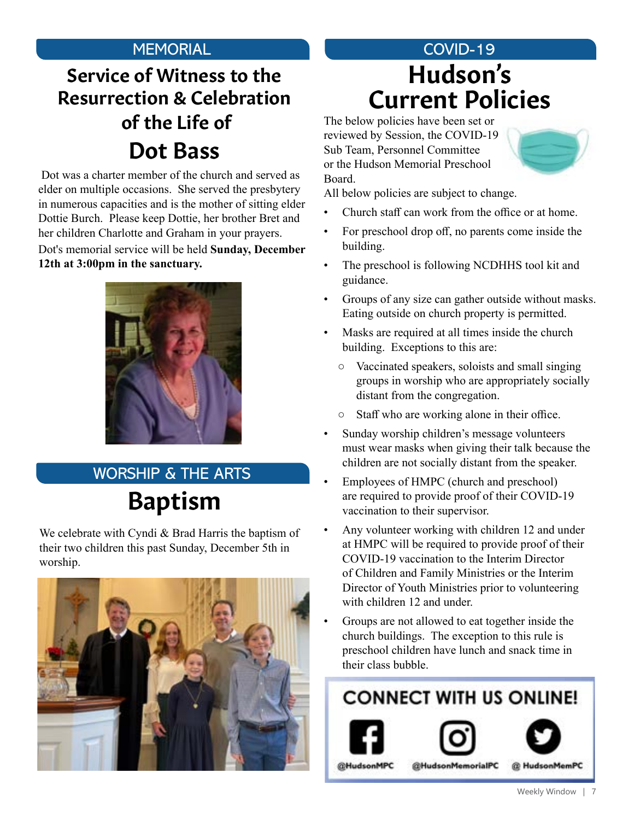## Service of Witness to the Resurrection & Celebration of the Life of Dot Bass

 Dot was a charter member of the church and served as elder on multiple occasions. She served the presbytery in numerous capacities and is the mother of sitting elder Dottie Burch. Please keep Dottie, her brother Bret and her children Charlotte and Graham in your prayers. Dot's memorial service will be held **Sunday, December 12th at 3:00pm in the sanctuary.**



# Baptism WORSHIP & THE ARTS

We celebrate with Cyndi & Brad Harris the baptism of their two children this past Sunday, December 5th in worship.



## MEMORIAL **MEMORIAL COVID-19** Current Policies Hudson's

The below policies have been set or reviewed by Session, the COVID-19 Sub Team, Personnel Committee or the Hudson Memorial Preschool Board.



- Church staff can work from the office or at home.
- For preschool drop off, no parents come inside the building.
- The preschool is following NCDHHS tool kit and guidance.
- Groups of any size can gather outside without masks. Eating outside on church property is permitted.
- Masks are required at all times inside the church building. Exceptions to this are:
	- Vaccinated speakers, soloists and small singing groups in worship who are appropriately socially distant from the congregation.
	- Staff who are working alone in their office.
- Sunday worship children's message volunteers must wear masks when giving their talk because the children are not socially distant from the speaker.
- Employees of HMPC (church and preschool) are required to provide proof of their COVID-19 vaccination to their supervisor.
- Any volunteer working with children 12 and under at HMPC will be required to provide proof of their COVID-19 vaccination to the Interim Director of Children and Family Ministries or the Interim Director of Youth Ministries prior to volunteering with children 12 and under.
- Groups are not allowed to eat together inside the church buildings. The exception to this rule is preschool children have lunch and snack time in their class bubble.